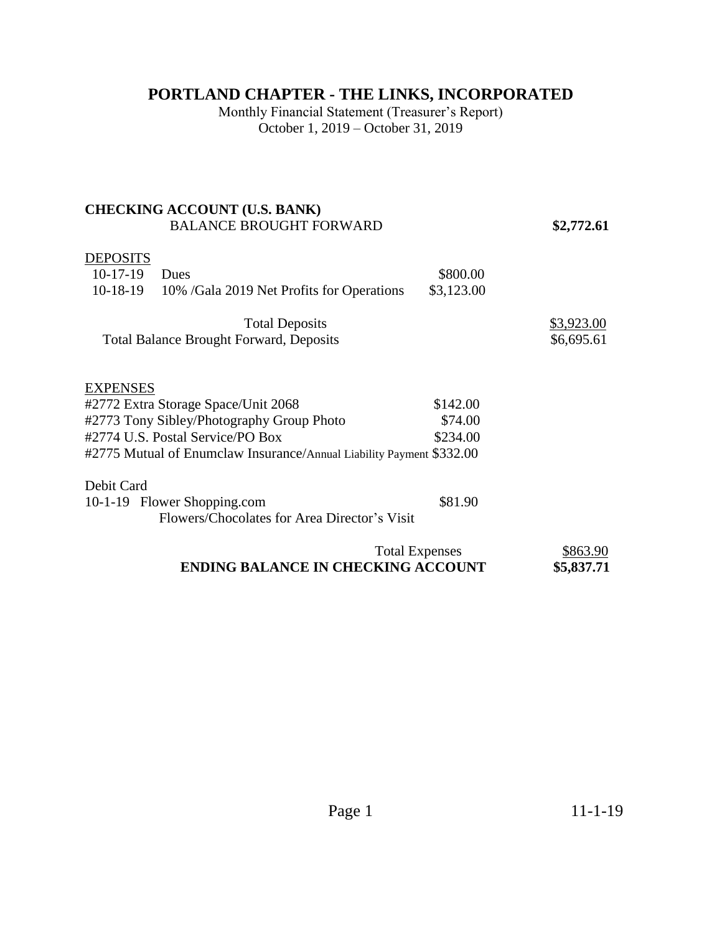# **PORTLAND CHAPTER - THE LINKS, INCORPORATED**

Monthly Financial Statement (Treasurer's Report) October 1, 2019 – October 31, 2019

#### **CHECKING ACCOUNT (U.S. BANK)**  BALANCE BROUGHT FORWARD **\$2,772.61**

### **DEPOSITS**

| Dues                                                    | \$800.00              |                                                                                                                      |
|---------------------------------------------------------|-----------------------|----------------------------------------------------------------------------------------------------------------------|
| $10-18-19$<br>10% /Gala 2019 Net Profits for Operations | \$3,123.00            |                                                                                                                      |
|                                                         |                       |                                                                                                                      |
|                                                         |                       | \$3,923.00                                                                                                           |
| <b>Total Balance Brought Forward, Deposits</b>          |                       | \$6,695.61                                                                                                           |
|                                                         |                       |                                                                                                                      |
|                                                         |                       |                                                                                                                      |
| <b>EXPENSES</b>                                         |                       |                                                                                                                      |
| #2772 Extra Storage Space/Unit 2068                     | \$142.00              |                                                                                                                      |
| #2773 Tony Sibley/Photography Group Photo               | \$74.00               |                                                                                                                      |
| #2774 U.S. Postal Service/PO Box                        | \$234.00              |                                                                                                                      |
|                                                         |                       |                                                                                                                      |
|                                                         |                       |                                                                                                                      |
| Debit Card                                              |                       |                                                                                                                      |
| 10-1-19 Flower Shopping.com                             | \$81.90               |                                                                                                                      |
|                                                         |                       |                                                                                                                      |
|                                                         | <b>Total Deposits</b> | #2775 Mutual of Enumclaw Insurance/Annual Liability Payment \$332.00<br>Flowers/Chocolates for Area Director's Visit |

| <b>Total Expenses</b>                     | \$863.90   |
|-------------------------------------------|------------|
| <b>ENDING BALANCE IN CHECKING ACCOUNT</b> | \$5,837.71 |